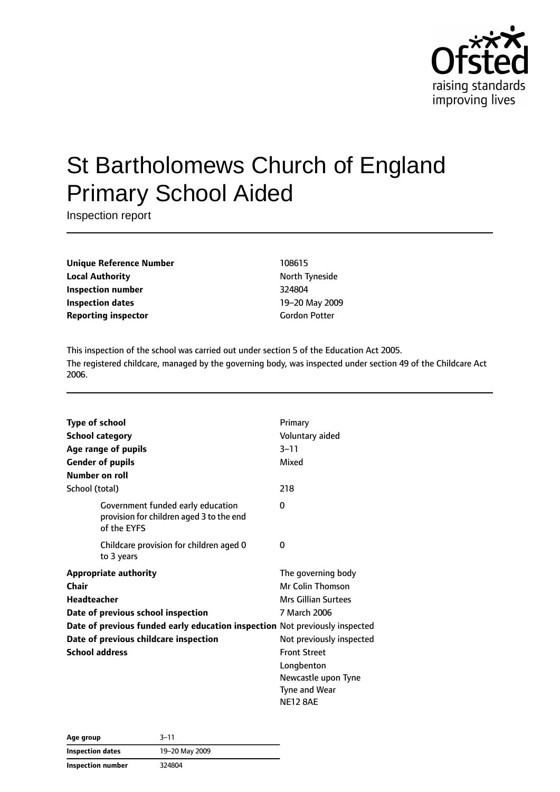

# St Bartholomews Church of England Primary School Aided

Inspection report

**Unique Reference Number** 108615 **Local Authority North Tyneside Inspection number** 324804 **Inspection dates** 19–20 May 2009 **Reporting inspector** Gordon Potter

This inspection of the school was carried out under section 5 of the Education Act 2005. The registered childcare, managed by the governing body, was inspected under section 49 of the Childcare Act 2006.

| Type of school        |                                                                                              | Primary                    |
|-----------------------|----------------------------------------------------------------------------------------------|----------------------------|
|                       | <b>School category</b>                                                                       | Voluntary aided            |
|                       | Age range of pupils                                                                          | $3 - 11$                   |
|                       | <b>Gender of pupils</b>                                                                      | Mixed                      |
|                       | Number on roll                                                                               |                            |
| School (total)        |                                                                                              | 218                        |
|                       | Government funded early education<br>provision for children aged 3 to the end<br>of the EYFS | 0                          |
|                       | Childcare provision for children aged 0<br>to 3 years                                        | 0                          |
|                       | <b>Appropriate authority</b>                                                                 | The governing body         |
| Chair                 |                                                                                              | <b>Mr Colin Thomson</b>    |
| Headteacher           |                                                                                              | <b>Mrs Gillian Surtees</b> |
|                       | Date of previous school inspection                                                           | 7 March 2006               |
|                       | Date of previous funded early education inspection Not previously inspected                  |                            |
|                       | Date of previous childcare inspection                                                        | Not previously inspected   |
| <b>School address</b> |                                                                                              | <b>Front Street</b>        |
|                       |                                                                                              | Longbenton                 |
|                       |                                                                                              | Newcastle upon Tyne        |
|                       |                                                                                              | Tyne and Wear              |
|                       |                                                                                              | <b>NE12 8AE</b>            |

| Age group               | $3 - 11$       |  |
|-------------------------|----------------|--|
| <b>Inspection dates</b> | 19-20 May 2009 |  |
| Inspection number       | 324804         |  |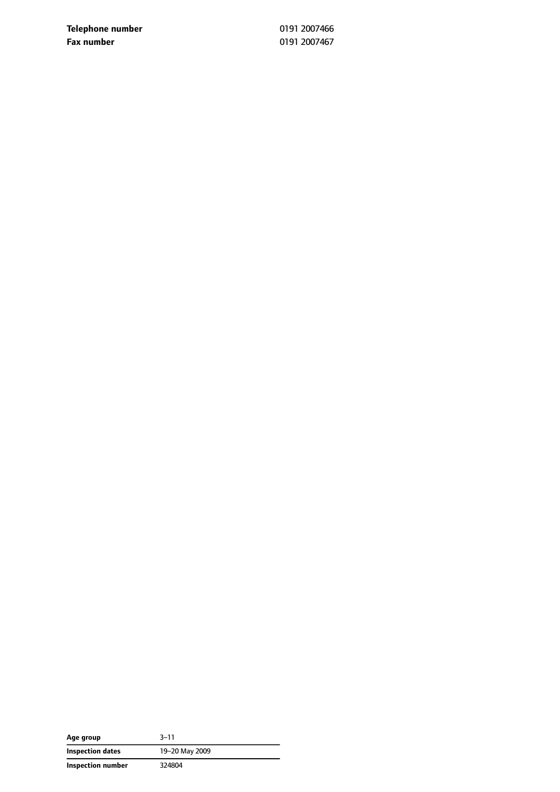**Telephone number** 0191 2007466 **Fax number** 0191 2007467

| Age group         | $3 - 11$       |
|-------------------|----------------|
| Inspection dates  | 19-20 May 2009 |
| Inspection number | 324804         |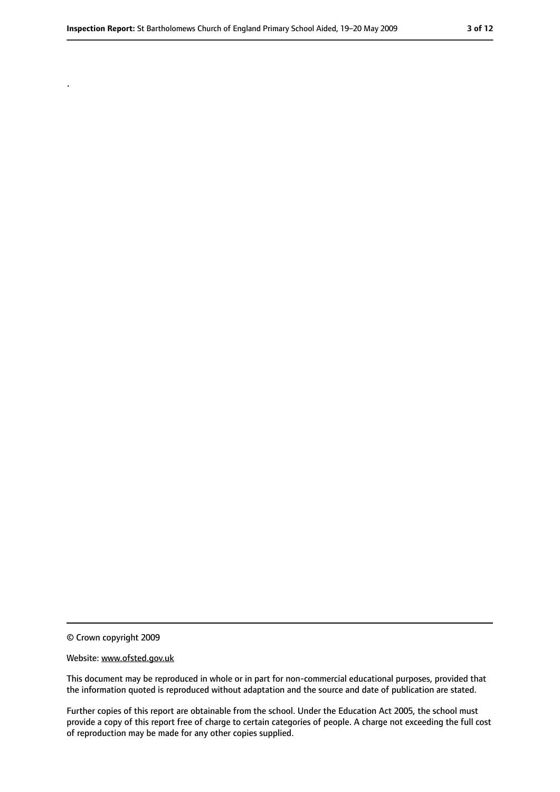© Crown copyright 2009

.

#### Website: www.ofsted.gov.uk

This document may be reproduced in whole or in part for non-commercial educational purposes, provided that the information quoted is reproduced without adaptation and the source and date of publication are stated.

Further copies of this report are obtainable from the school. Under the Education Act 2005, the school must provide a copy of this report free of charge to certain categories of people. A charge not exceeding the full cost of reproduction may be made for any other copies supplied.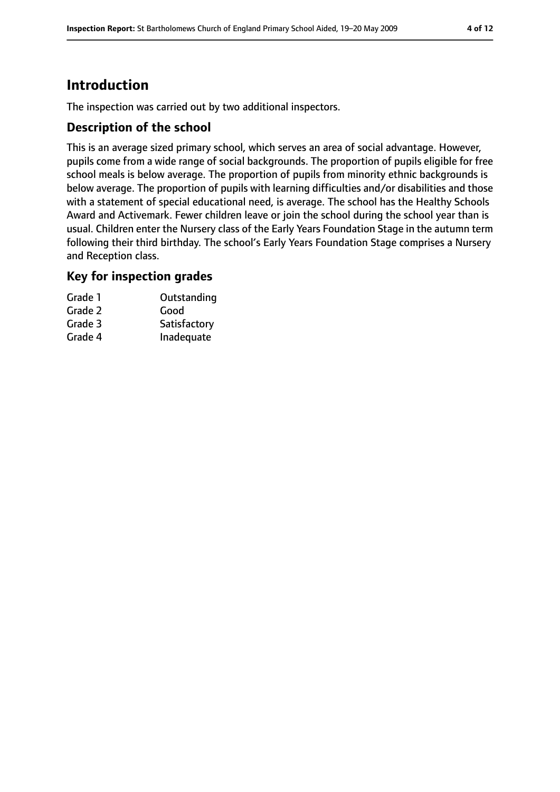# **Introduction**

The inspection was carried out by two additional inspectors.

### **Description of the school**

This is an average sized primary school, which serves an area of social advantage. However, pupils come from a wide range of social backgrounds. The proportion of pupils eligible for free school meals is below average. The proportion of pupils from minority ethnic backgrounds is below average. The proportion of pupils with learning difficulties and/or disabilities and those with a statement of special educational need, is average. The school has the Healthy Schools Award and Activemark. Fewer children leave or join the school during the school year than is usual. Children enter the Nursery class of the Early Years Foundation Stage in the autumn term following their third birthday. The school's Early Years Foundation Stage comprises a Nursery and Reception class.

### **Key for inspection grades**

| Grade 1 | Outstanding  |
|---------|--------------|
| Grade 2 | Good         |
| Grade 3 | Satisfactory |
| Grade 4 | Inadequate   |
|         |              |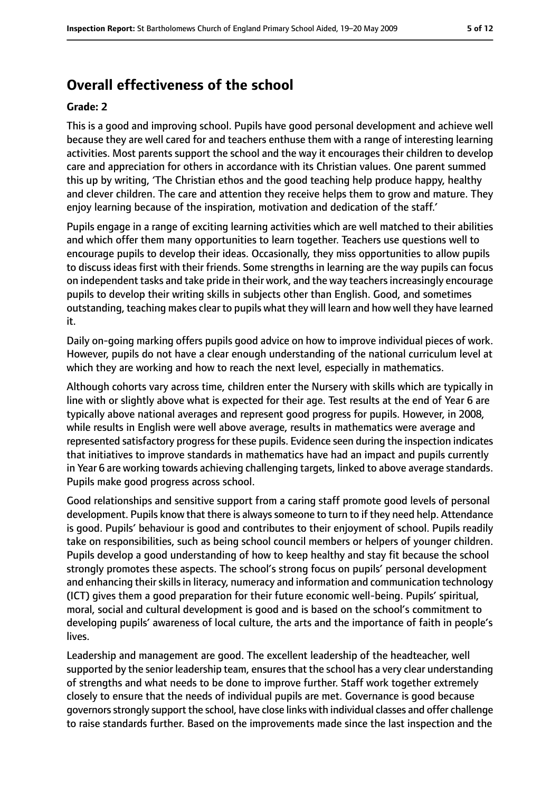# **Overall effectiveness of the school**

#### **Grade: 2**

This is a good and improving school. Pupils have good personal development and achieve well because they are well cared for and teachers enthuse them with a range of interesting learning activities. Most parents support the school and the way it encourages their children to develop care and appreciation for others in accordance with its Christian values. One parent summed this up by writing, 'The Christian ethos and the good teaching help produce happy, healthy and clever children. The care and attention they receive helps them to grow and mature. They enjoy learning because of the inspiration, motivation and dedication of the staff.'

Pupils engage in a range of exciting learning activities which are well matched to their abilities and which offer them many opportunities to learn together. Teachers use questions well to encourage pupils to develop their ideas. Occasionally, they miss opportunities to allow pupils to discuss ideas first with their friends. Some strengths in learning are the way pupils can focus on independent tasks and take pride in their work, and the way teachers increasingly encourage pupils to develop their writing skills in subjects other than English. Good, and sometimes outstanding, teaching makes clear to pupils what they will learn and how well they have learned it.

Daily on-going marking offers pupils good advice on how to improve individual pieces of work. However, pupils do not have a clear enough understanding of the national curriculum level at which they are working and how to reach the next level, especially in mathematics.

Although cohorts vary across time, children enter the Nursery with skills which are typically in line with or slightly above what is expected for their age. Test results at the end of Year 6 are typically above national averages and represent good progress for pupils. However, in 2008, while results in English were well above average, results in mathematics were average and represented satisfactory progress for these pupils. Evidence seen during the inspection indicates that initiatives to improve standards in mathematics have had an impact and pupils currently in Year 6 are working towards achieving challenging targets, linked to above average standards. Pupils make good progress across school.

Good relationships and sensitive support from a caring staff promote good levels of personal development. Pupils know that there is always someone to turn to if they need help. Attendance is good. Pupils' behaviour is good and contributes to their enjoyment of school. Pupils readily take on responsibilities, such as being school council members or helpers of younger children. Pupils develop a good understanding of how to keep healthy and stay fit because the school strongly promotes these aspects. The school's strong focus on pupils' personal development and enhancing their skills in literacy, numeracy and information and communication technology (ICT) gives them a good preparation for their future economic well-being. Pupils' spiritual, moral, social and cultural development is good and is based on the school's commitment to developing pupils' awareness of local culture, the arts and the importance of faith in people's lives.

Leadership and management are good. The excellent leadership of the headteacher, well supported by the senior leadership team, ensures that the school has a very clear understanding of strengths and what needs to be done to improve further. Staff work together extremely closely to ensure that the needs of individual pupils are met. Governance is good because governorsstrongly support the school, have close links with individual classes and offer challenge to raise standards further. Based on the improvements made since the last inspection and the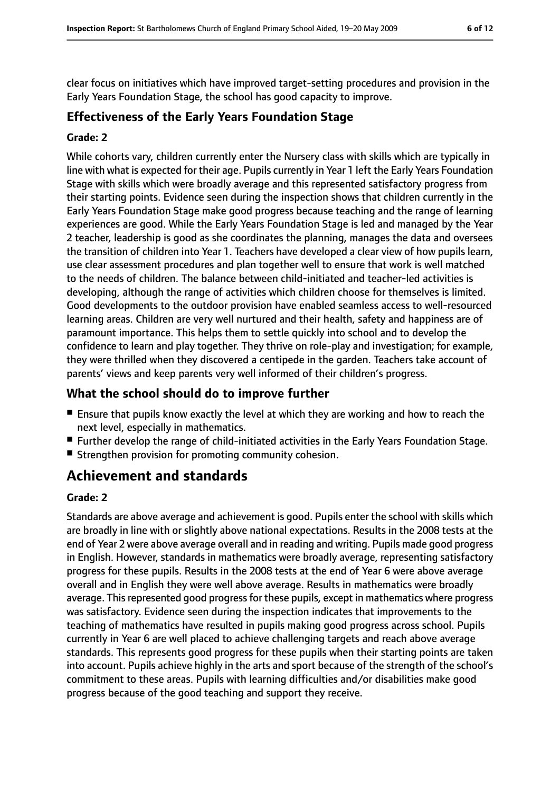clear focus on initiatives which have improved target-setting procedures and provision in the Early Years Foundation Stage, the school has good capacity to improve.

### **Effectiveness of the Early Years Foundation Stage**

#### **Grade: 2**

While cohorts vary, children currently enter the Nursery class with skills which are typically in line with what is expected for their age. Pupils currently in Year 1 left the Early Years Foundation Stage with skills which were broadly average and this represented satisfactory progress from their starting points. Evidence seen during the inspection shows that children currently in the Early Years Foundation Stage make good progress because teaching and the range of learning experiences are good. While the Early Years Foundation Stage is led and managed by the Year 2 teacher, leadership is good as she coordinates the planning, manages the data and oversees the transition of children into Year 1. Teachers have developed a clear view of how pupils learn, use clear assessment procedures and plan together well to ensure that work is well matched to the needs of children. The balance between child-initiated and teacher-led activities is developing, although the range of activities which children choose for themselves is limited. Good developments to the outdoor provision have enabled seamless access to well-resourced learning areas. Children are very well nurtured and their health, safety and happiness are of paramount importance. This helps them to settle quickly into school and to develop the confidence to learn and play together. They thrive on role-play and investigation; for example, they were thrilled when they discovered a centipede in the garden. Teachers take account of parents' views and keep parents very well informed of their children's progress.

### **What the school should do to improve further**

- Ensure that pupils know exactly the level at which they are working and how to reach the next level, especially in mathematics.
- Further develop the range of child-initiated activities in the Early Years Foundation Stage.
- Strengthen provision for promoting community cohesion.

# **Achievement and standards**

#### **Grade: 2**

Standards are above average and achievement is good. Pupils enter the school with skills which are broadly in line with or slightly above national expectations. Results in the 2008 tests at the end of Year 2 were above average overall and in reading and writing. Pupils made good progress in English. However, standards in mathematics were broadly average, representing satisfactory progress for these pupils. Results in the 2008 tests at the end of Year 6 were above average overall and in English they were well above average. Results in mathematics were broadly average. This represented good progress for these pupils, except in mathematics where progress was satisfactory. Evidence seen during the inspection indicates that improvements to the teaching of mathematics have resulted in pupils making good progress across school. Pupils currently in Year 6 are well placed to achieve challenging targets and reach above average standards. This represents good progress for these pupils when their starting points are taken into account. Pupils achieve highly in the arts and sport because of the strength of the school's commitment to these areas. Pupils with learning difficulties and/or disabilities make good progress because of the good teaching and support they receive.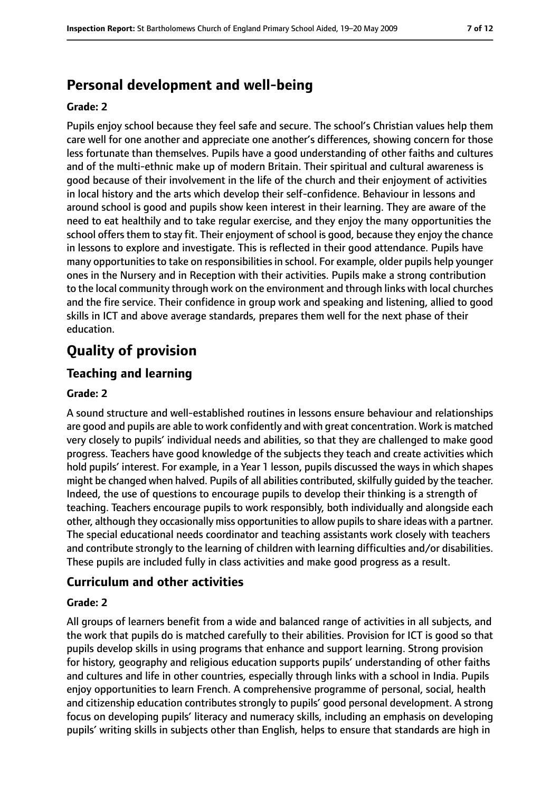# **Personal development and well-being**

#### **Grade: 2**

Pupils enjoy school because they feel safe and secure. The school's Christian values help them care well for one another and appreciate one another's differences, showing concern for those less fortunate than themselves. Pupils have a good understanding of other faiths and cultures and of the multi-ethnic make up of modern Britain. Their spiritual and cultural awareness is good because of their involvement in the life of the church and their enjoyment of activities in local history and the arts which develop their self-confidence. Behaviour in lessons and around school is good and pupils show keen interest in their learning. They are aware of the need to eat healthily and to take regular exercise, and they enjoy the many opportunities the school offers them to stay fit. Their enjoyment of school is good, because they enjoy the chance in lessons to explore and investigate. This is reflected in their good attendance. Pupils have many opportunities to take on responsibilities in school. For example, older pupils help younger ones in the Nursery and in Reception with their activities. Pupils make a strong contribution to the local community through work on the environment and through links with local churches and the fire service. Their confidence in group work and speaking and listening, allied to good skills in ICT and above average standards, prepares them well for the next phase of their education.

# **Quality of provision**

### **Teaching and learning**

#### **Grade: 2**

A sound structure and well-established routines in lessons ensure behaviour and relationships are good and pupils are able to work confidently and with great concentration. Work is matched very closely to pupils' individual needs and abilities, so that they are challenged to make good progress. Teachers have good knowledge of the subjects they teach and create activities which hold pupils' interest. For example, in a Year 1 lesson, pupils discussed the ways in which shapes might be changed when halved. Pupils of all abilities contributed, skilfully quided by the teacher. Indeed, the use of questions to encourage pupils to develop their thinking is a strength of teaching. Teachers encourage pupils to work responsibly, both individually and alongside each other, although they occasionally miss opportunities to allow pupils to share ideas with a partner. The special educational needs coordinator and teaching assistants work closely with teachers and contribute strongly to the learning of children with learning difficulties and/or disabilities. These pupils are included fully in class activities and make good progress as a result.

#### **Curriculum and other activities**

#### **Grade: 2**

All groups of learners benefit from a wide and balanced range of activities in all subjects, and the work that pupils do is matched carefully to their abilities. Provision for ICT is good so that pupils develop skills in using programs that enhance and support learning. Strong provision for history, geography and religious education supports pupils' understanding of other faiths and cultures and life in other countries, especially through links with a school in India. Pupils enjoy opportunities to learn French. A comprehensive programme of personal, social, health and citizenship education contributes strongly to pupils' good personal development. A strong focus on developing pupils' literacy and numeracy skills, including an emphasis on developing pupils' writing skills in subjects other than English, helps to ensure that standards are high in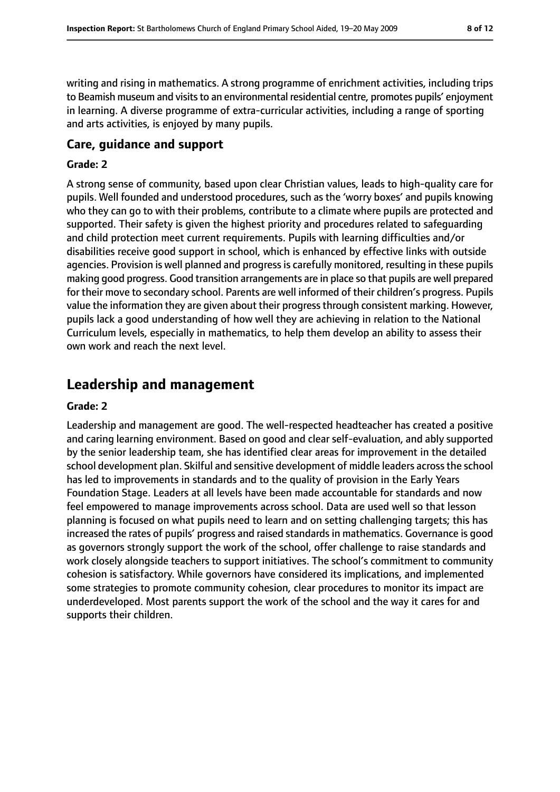writing and rising in mathematics. A strong programme of enrichment activities, including trips to Beamish museum and visits to an environmental residential centre, promotes pupils' enjoyment in learning. A diverse programme of extra-curricular activities, including a range of sporting and arts activities, is enjoyed by many pupils.

### **Care, guidance and support**

#### **Grade: 2**

A strong sense of community, based upon clear Christian values, leads to high-quality care for pupils. Well founded and understood procedures, such as the 'worry boxes' and pupils knowing who they can go to with their problems, contribute to a climate where pupils are protected and supported. Their safety is given the highest priority and procedures related to safeguarding and child protection meet current requirements. Pupils with learning difficulties and/or disabilities receive good support in school, which is enhanced by effective links with outside agencies. Provision is well planned and progress is carefully monitored, resulting in these pupils making good progress. Good transition arrangements are in place so that pupils are well prepared for their move to secondary school. Parents are well informed of their children's progress. Pupils value the information they are given about their progressthrough consistent marking. However, pupils lack a good understanding of how well they are achieving in relation to the National Curriculum levels, especially in mathematics, to help them develop an ability to assess their own work and reach the next level.

# **Leadership and management**

#### **Grade: 2**

Leadership and management are good. The well-respected headteacher has created a positive and caring learning environment. Based on good and clear self-evaluation, and ably supported by the senior leadership team, she has identified clear areas for improvement in the detailed school development plan. Skilful and sensitive development of middle leaders across the school has led to improvements in standards and to the quality of provision in the Early Years Foundation Stage. Leaders at all levels have been made accountable for standards and now feel empowered to manage improvements across school. Data are used well so that lesson planning is focused on what pupils need to learn and on setting challenging targets; this has increased the rates of pupils' progress and raised standards in mathematics. Governance is good as governors strongly support the work of the school, offer challenge to raise standards and work closely alongside teachers to support initiatives. The school's commitment to community cohesion is satisfactory. While governors have considered its implications, and implemented some strategies to promote community cohesion, clear procedures to monitor its impact are underdeveloped. Most parents support the work of the school and the way it cares for and supports their children.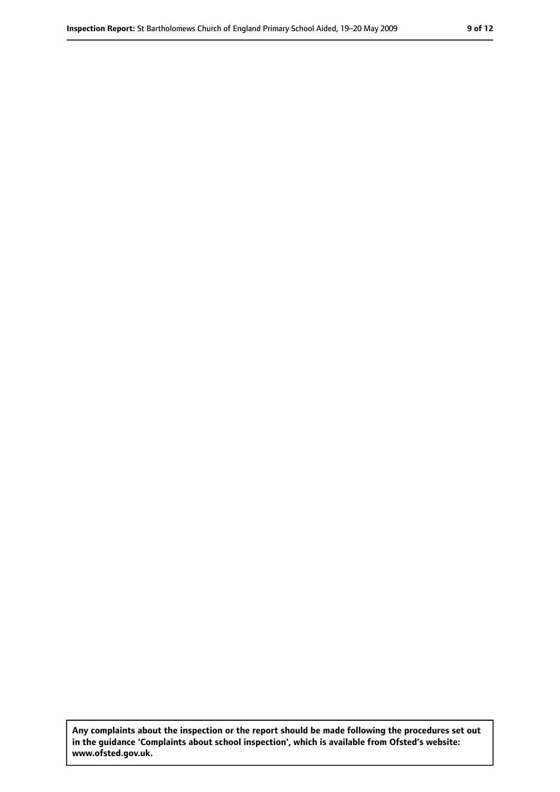**Any complaints about the inspection or the report should be made following the procedures set out in the guidance 'Complaints about school inspection', which is available from Ofsted's website: www.ofsted.gov.uk.**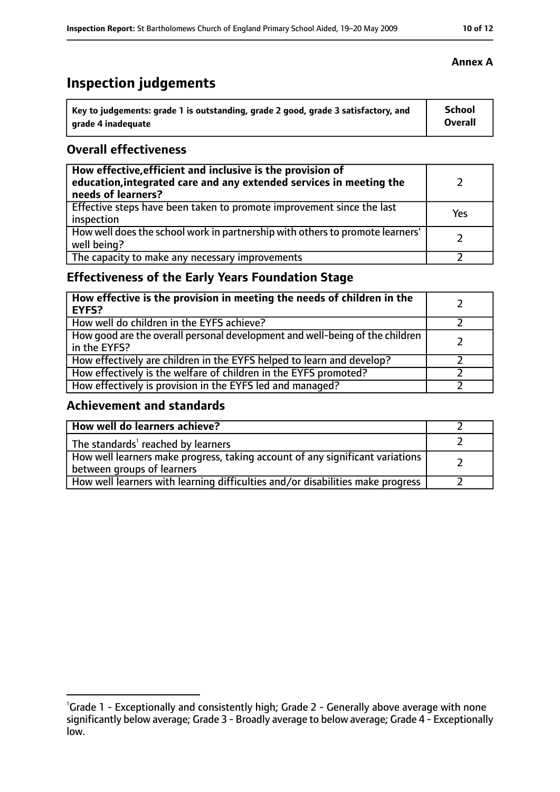# **Inspection judgements**

| $^{\cdot}$ Key to judgements: grade 1 is outstanding, grade 2 good, grade 3 satisfactory, and | <b>School</b> |
|-----------------------------------------------------------------------------------------------|---------------|
| arade 4 inadequate                                                                            | Overall       |

### **Overall effectiveness**

| How effective, efficient and inclusive is the provision of<br>education, integrated care and any extended services in meeting the<br>needs of learners? |     |
|---------------------------------------------------------------------------------------------------------------------------------------------------------|-----|
| Effective steps have been taken to promote improvement since the last<br>inspection                                                                     | Yes |
| How well does the school work in partnership with others to promote learners'<br>well being?                                                            |     |
| The capacity to make any necessary improvements                                                                                                         |     |

# **Effectiveness of the Early Years Foundation Stage**

| How effective is the provision in meeting the needs of children in the<br><b>EYFS?</b>       |  |
|----------------------------------------------------------------------------------------------|--|
| How well do children in the EYFS achieve?                                                    |  |
| How good are the overall personal development and well-being of the children<br>in the EYFS? |  |
| How effectively are children in the EYFS helped to learn and develop?                        |  |
| How effectively is the welfare of children in the EYFS promoted?                             |  |
| How effectively is provision in the EYFS led and managed?                                    |  |

### **Achievement and standards**

| How well do learners achieve?                                                                               |  |
|-------------------------------------------------------------------------------------------------------------|--|
| The standards <sup>1</sup> reached by learners                                                              |  |
| How well learners make progress, taking account of any significant variations<br>between groups of learners |  |
| How well learners with learning difficulties and/or disabilities make progress                              |  |

### **Annex A**

<sup>&</sup>lt;sup>1</sup>Grade 1 - Exceptionally and consistently high; Grade 2 - Generally above average with none significantly below average; Grade 3 - Broadly average to below average; Grade 4 - Exceptionally low.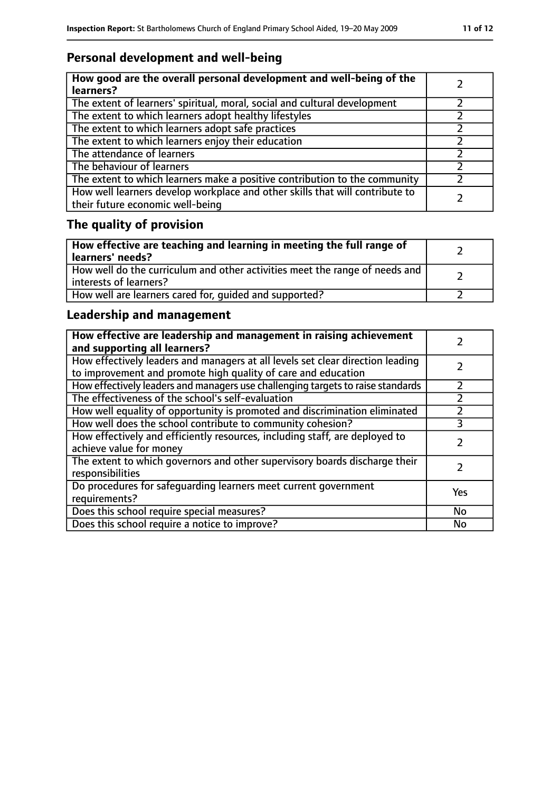# **Personal development and well-being**

| How good are the overall personal development and well-being of the<br>learners?                                 |  |
|------------------------------------------------------------------------------------------------------------------|--|
| The extent of learners' spiritual, moral, social and cultural development                                        |  |
| The extent to which learners adopt healthy lifestyles                                                            |  |
| The extent to which learners adopt safe practices                                                                |  |
| The extent to which learners enjoy their education                                                               |  |
| The attendance of learners                                                                                       |  |
| The behaviour of learners                                                                                        |  |
| The extent to which learners make a positive contribution to the community                                       |  |
| How well learners develop workplace and other skills that will contribute to<br>their future economic well-being |  |

# **The quality of provision**

| How effective are teaching and learning in meeting the full range of<br>learners' needs?              |  |
|-------------------------------------------------------------------------------------------------------|--|
| How well do the curriculum and other activities meet the range of needs and<br>interests of learners? |  |
| How well are learners cared for, quided and supported?                                                |  |

# **Leadership and management**

| How effective are leadership and management in raising achievement<br>and supporting all learners?                                              |     |
|-------------------------------------------------------------------------------------------------------------------------------------------------|-----|
| How effectively leaders and managers at all levels set clear direction leading<br>to improvement and promote high quality of care and education |     |
| How effectively leaders and managers use challenging targets to raise standards                                                                 |     |
| The effectiveness of the school's self-evaluation                                                                                               |     |
| How well equality of opportunity is promoted and discrimination eliminated                                                                      |     |
| How well does the school contribute to community cohesion?                                                                                      | 3   |
| How effectively and efficiently resources, including staff, are deployed to<br>achieve value for money                                          |     |
| The extent to which governors and other supervisory boards discharge their<br>responsibilities                                                  |     |
| Do procedures for safequarding learners meet current government<br>requirements?                                                                | Yes |
| Does this school require special measures?                                                                                                      | No  |
| Does this school require a notice to improve?                                                                                                   | No  |